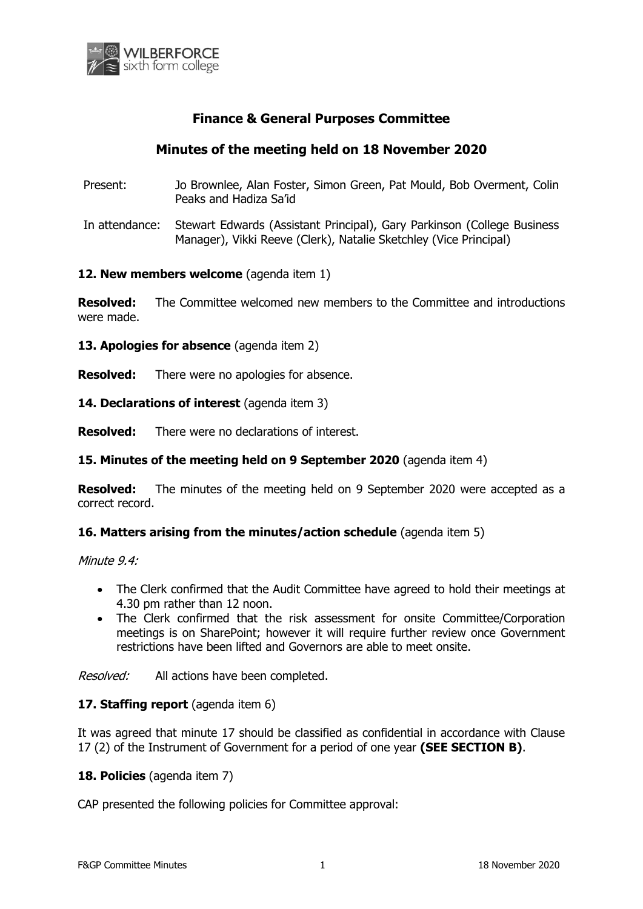

# **Finance & General Purposes Committee**

# **Minutes of the meeting held on 18 November 2020**

- Present: Jo Brownlee, Alan Foster, Simon Green, Pat Mould, Bob Overment, Colin Peaks and Hadiza Sa'id
- In attendance: Stewart Edwards (Assistant Principal), Gary Parkinson (College Business Manager), Vikki Reeve (Clerk), Natalie Sketchley (Vice Principal)

#### **12. New members welcome** (agenda item 1)

**Resolved:** The Committee welcomed new members to the Committee and introductions were made.

**13. Apologies for absence** (agenda item 2)

**Resolved:** There were no apologies for absence.

**14. Declarations of interest** (agenda item 3)

**Resolved:** There were no declarations of interest.

### **15. Minutes of the meeting held on 9 September 2020** (agenda item 4)

**Resolved:** The minutes of the meeting held on 9 September 2020 were accepted as a correct record.

#### **16. Matters arising from the minutes/action schedule** (agenda item 5)

Minute 9.4:

- The Clerk confirmed that the Audit Committee have agreed to hold their meetings at 4.30 pm rather than 12 noon.
- The Clerk confirmed that the risk assessment for onsite Committee/Corporation meetings is on SharePoint; however it will require further review once Government restrictions have been lifted and Governors are able to meet onsite.

Resolved: All actions have been completed.

### **17. Staffing report** (agenda item 6)

It was agreed that minute 17 should be classified as confidential in accordance with Clause 17 (2) of the Instrument of Government for a period of one year **(SEE SECTION B)**.

#### **18. Policies** (agenda item 7)

CAP presented the following policies for Committee approval: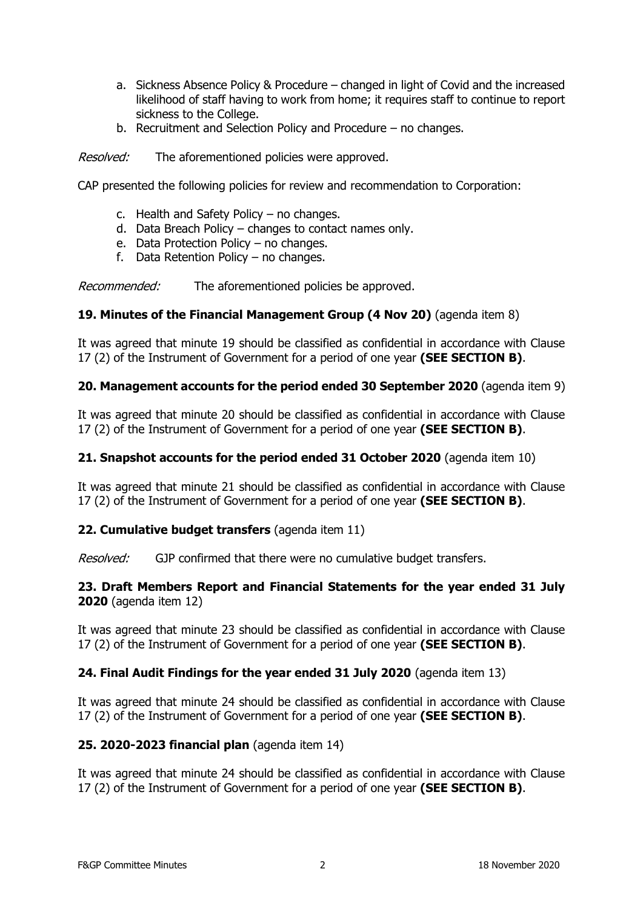- a. Sickness Absence Policy & Procedure changed in light of Covid and the increased likelihood of staff having to work from home; it requires staff to continue to report sickness to the College.
- b. Recruitment and Selection Policy and Procedure no changes.

*Resolved:* The aforementioned policies were approved.

CAP presented the following policies for review and recommendation to Corporation:

- c. Health and Safety Policy no changes.
- d. Data Breach Policy changes to contact names only.
- e. Data Protection Policy no changes.
- f. Data Retention Policy no changes.

Recommended: The aforementioned policies be approved.

## **19. Minutes of the Financial Management Group (4 Nov 20)** (agenda item 8)

It was agreed that minute 19 should be classified as confidential in accordance with Clause 17 (2) of the Instrument of Government for a period of one year **(SEE SECTION B)**.

## **20. Management accounts for the period ended 30 September 2020** (agenda item 9)

It was agreed that minute 20 should be classified as confidential in accordance with Clause 17 (2) of the Instrument of Government for a period of one year **(SEE SECTION B)**.

### **21. Snapshot accounts for the period ended 31 October 2020** (agenda item 10)

It was agreed that minute 21 should be classified as confidential in accordance with Clause 17 (2) of the Instrument of Government for a period of one year **(SEE SECTION B)**.

### **22. Cumulative budget transfers** (agenda item 11)

Resolved: GJP confirmed that there were no cumulative budget transfers.

## **23. Draft Members Report and Financial Statements for the year ended 31 July 2020** (agenda item 12)

It was agreed that minute 23 should be classified as confidential in accordance with Clause 17 (2) of the Instrument of Government for a period of one year **(SEE SECTION B)**.

### **24. Final Audit Findings for the year ended 31 July 2020** (agenda item 13)

It was agreed that minute 24 should be classified as confidential in accordance with Clause 17 (2) of the Instrument of Government for a period of one year **(SEE SECTION B)**.

### **25. 2020-2023 financial plan** (agenda item 14)

It was agreed that minute 24 should be classified as confidential in accordance with Clause 17 (2) of the Instrument of Government for a period of one year **(SEE SECTION B)**.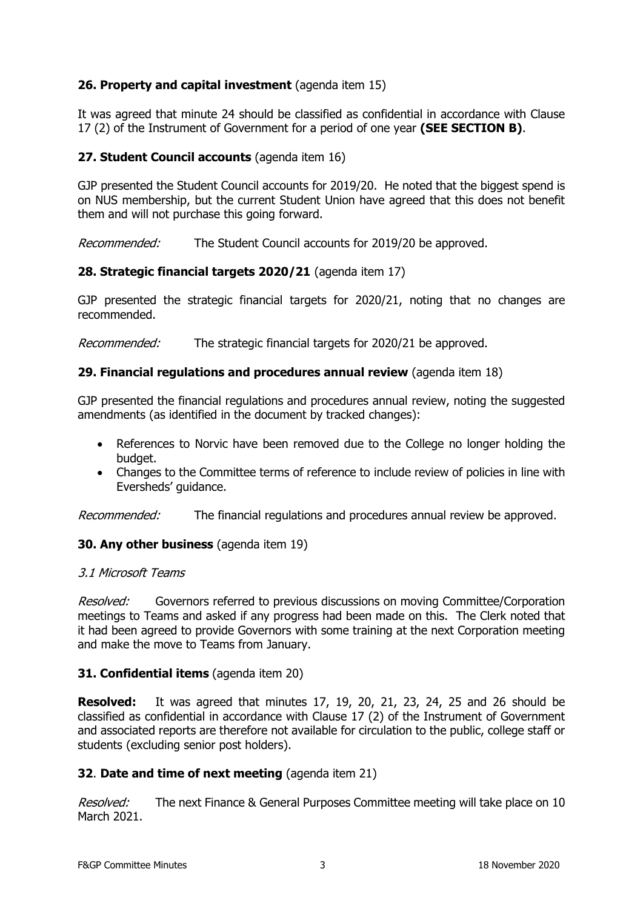# **26. Property and capital investment** (agenda item 15)

It was agreed that minute 24 should be classified as confidential in accordance with Clause 17 (2) of the Instrument of Government for a period of one year **(SEE SECTION B)**.

# **27. Student Council accounts** (agenda item 16)

GJP presented the Student Council accounts for 2019/20. He noted that the biggest spend is on NUS membership, but the current Student Union have agreed that this does not benefit them and will not purchase this going forward.

Recommended: The Student Council accounts for 2019/20 be approved.

## **28. Strategic financial targets 2020/21** (agenda item 17)

GJP presented the strategic financial targets for 2020/21, noting that no changes are recommended.

Recommended: The strategic financial targets for 2020/21 be approved.

## **29. Financial regulations and procedures annual review** (agenda item 18)

GJP presented the financial regulations and procedures annual review, noting the suggested amendments (as identified in the document by tracked changes):

- References to Norvic have been removed due to the College no longer holding the budget.
- Changes to the Committee terms of reference to include review of policies in line with Eversheds' guidance.

Recommended: The financial regulations and procedures annual review be approved.

# **30. Any other business** (agenda item 19)

### 3.1 Microsoft Teams

Resolved: Governors referred to previous discussions on moving Committee/Corporation meetings to Teams and asked if any progress had been made on this. The Clerk noted that it had been agreed to provide Governors with some training at the next Corporation meeting and make the move to Teams from January.

### **31. Confidential items** (agenda item 20)

**Resolved:** It was agreed that minutes 17, 19, 20, 21, 23, 24, 25 and 26 should be classified as confidential in accordance with Clause 17 (2) of the Instrument of Government and associated reports are therefore not available for circulation to the public, college staff or students (excluding senior post holders).

### **32**. **Date and time of next meeting** (agenda item 21)

Resolved: The next Finance & General Purposes Committee meeting will take place on 10 March 2021.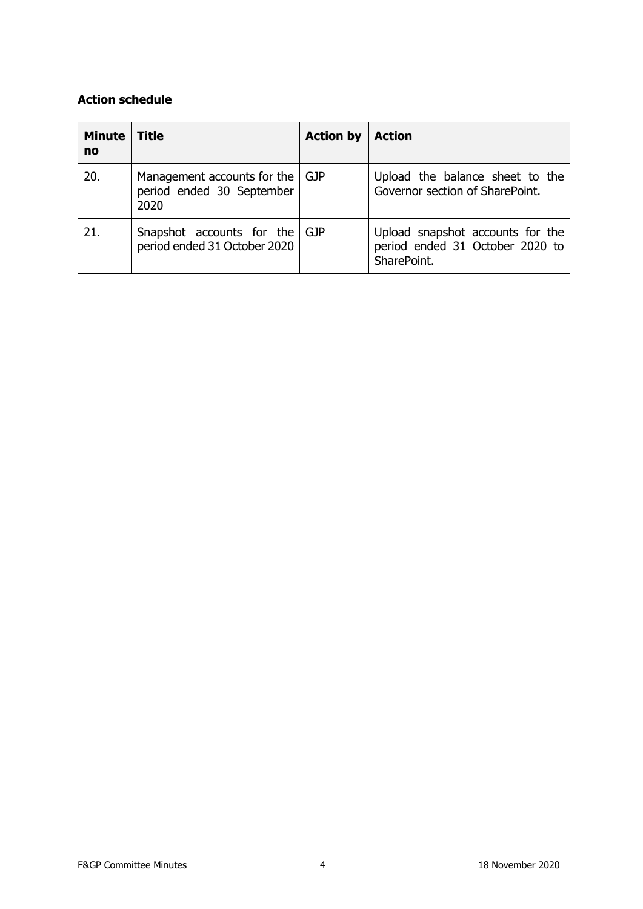# **Action schedule**

| Minute<br>no | <b>Title</b>                                                           | <b>Action by</b> | <b>Action</b>                                                                      |
|--------------|------------------------------------------------------------------------|------------------|------------------------------------------------------------------------------------|
| 20.          | Management accounts for the   GJP<br>period ended 30 September<br>2020 |                  | Upload the balance sheet to the<br>Governor section of SharePoint.                 |
| 21.          | Snapshot accounts for the GJP<br>period ended 31 October 2020          |                  | Upload snapshot accounts for the<br>period ended 31 October 2020 to<br>SharePoint. |